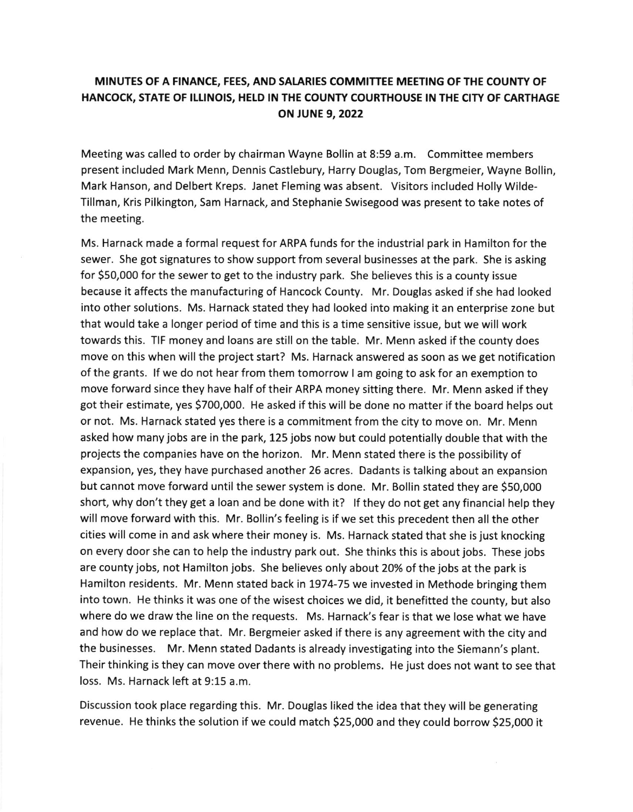## MINUTES OF A FINANCE, FEES, AND SALARIES COMMITTEE MEETING OF THE COUNTY OF HANCOCK, STATE OF ILLINOIS, HELD IN THE COUNTY COURTHOUSE IN THE CITY OF CARTHAGE ON JUNE 9,2022

Meeting was called to order by chairman Wayne Bollin at 8:59 a.m. Committee members present included Mark Menn, Dennis Castlebury, Harry Douglas, Tom Bergmeier. Wayne Bollin, Mark Hanson, and Delbert Kreps. Janet Fleming was absent. Visitors included Holly Wilde-Tillman, Kris Pilkington, Sam Harnack, and Stephanie Swisegood was present to take notes of the meeting.

Ms. Harnack made a formal request for ARPA funds for the industrial park in Hamilton for the sewer. She got signatures to show support from several businesses at the park. She is asking for \$50,000 for the sewer to get to the industry park. She believes this is a county issue because it affects the manufacturing of Hancock County. Mr. Douglas asked if shehadlooked into other solutions. Ms. Harnack stated they had looked into making it an enterprise zone but that would take a longer period of time and this is a time sensitive issue, but we will work towards this. TIF money and loans are still on the table. Mr. Menn asked if the county does move on this when will the project start? Ms. Harnack answered as soon as we get notification of the grants. If we do not hear from them tomorrow I am going to ask for an exemption to move forward since they have half of their ARPA money sitting there. Mr. Menn asked if they got their estimate, yes 5700,000. He asked if this will be done no matter if the board helps out or not. Ms. Harnack stated yes there is a commitment from the city to move on. Mr. Menn asked how many jobs are in the park, 125 jobs now but could potentially double that with the projects the companies have on the horizon. Mr. Menn stated there is the possibility of expansion, yes, they have purchased another 25 acres. Dadants is talking about an expansion but cannot move forward until the sewer system is done. Mr. Bollin stated they are \$50,000 short, why don't they get a loan and be done with it? If they do not get any financial help they will move forward with this. Mr. Bollin's feeling is if we set this precedent then all the other cities will come in and ask where their money is. Ms. Harnack stated that she is just knocking on every door she can to help the industry park out. She thinks this is about jobs. These jobs are county jobs, not Hamilton jobs. She believes only about 20% of the jobs at the park is Hamilton residents. Mr. Menn stated back in 1974-75 we invested in Methode bringing them into town. He thinks it was one of the wisest choices we did, it benefitted the county, but also where do we draw the line on the requests. Ms. Harnack's fear is that we lose what we have and how do we replace that. Mr. Bergmeier asked if there is any agreement with the city and the businesses. Mr. Menn stated Dadants is already investigating into the Siemann's plant. Their thinking is they can move over there with no problems. He just does not want to see that loss. Ms. Harnack left at 9:15 a.m.

Discussion took place regarding this. Mr. Douglas liked the idea that they will be generating revenue. He thinks the solution if we could match 525,000 and they could borrow S25,OOO it